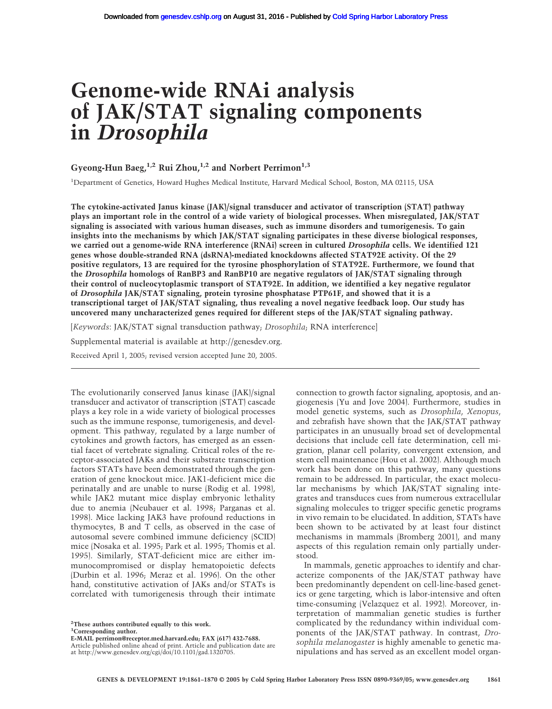# **Genome-wide RNAi analysis of JAK/STAT signaling components in** *Drosophila*

# Gyeong-Hun Baeg,<sup>1,2</sup> Rui Zhou,<sup>1,2</sup> and Norbert Perrimon<sup>1,3</sup>

<sup>1</sup>Department of Genetics, Howard Hughes Medical Institute, Harvard Medical School, Boston, MA 02115, USA

**The cytokine-activated Janus kinase (JAK)/signal transducer and activator of transcription (STAT) pathway plays an important role in the control of a wide variety of biological processes. When misregulated, JAK/STAT signaling is associated with various human diseases, such as immune disorders and tumorigenesis. To gain insights into the mechanisms by which JAK/STAT signaling participates in these diverse biological responses, we carried out a genome-wide RNA interference (RNAi) screen in cultured** *Drosophila* **cells. We identified 121 genes whose double-stranded RNA (dsRNA)-mediated knockdowns affected STAT92E activity. Of the 29 positive regulators, 13 are required for the tyrosine phosphorylation of STAT92E. Furthermore, we found that the** *Drosophila* **homologs of RanBP3 and RanBP10 are negative regulators of JAK/STAT signaling through their control of nucleocytoplasmic transport of STAT92E. In addition, we identified a key negative regulator of** *Drosophila* **JAK/STAT signaling, protein tyrosine phosphatase PTP61F, and showed that it is a transcriptional target of JAK/STAT signaling, thus revealing a novel negative feedback loop. Our study has uncovered many uncharacterized genes required for different steps of the JAK/STAT signaling pathway.**

[*Keywords*: JAK/STAT signal transduction pathway; *Drosophila*; RNA interference]

Supplemental material is available at http://genesdev.org.

Received April 1, 2005; revised version accepted June 20, 2005.

The evolutionarily conserved Janus kinase (JAK)/signal transducer and activator of transcription (STAT) cascade plays a key role in a wide variety of biological processes such as the immune response, tumorigenesis, and development. This pathway, regulated by a large number of cytokines and growth factors, has emerged as an essential facet of vertebrate signaling. Critical roles of the receptor-associated JAKs and their substrate transcription factors STATs have been demonstrated through the generation of gene knockout mice. JAK1-deficient mice die perinatally and are unable to nurse (Rodig et al. 1998), while JAK2 mutant mice display embryonic lethality due to anemia (Neubauer et al. 1998; Parganas et al. 1998). Mice lacking JAK3 have profound reductions in thymocytes, B and T cells, as observed in the case of autosomal severe combined immune deficiency (SCID) mice (Nosaka et al. 1995; Park et al. 1995; Thomis et al. 1995). Similarly, STAT-deficient mice are either immunocompromised or display hematopoietic defects (Durbin et al. 1996; Meraz et al. 1996). On the other hand, constitutive activation of JAKs and/or STATs is correlated with tumorigenesis through their intimate

**2 These authors contributed equally to this work. 3 Corresponding author.**

**E-MAIL perrimon@receptor.med.harvard.edu; FAX (617) 432-7688.**

Article published online ahead of print. Article and publication date are at http://www.genesdev.org/cgi/doi/10.1101/gad.1320705.

connection to growth factor signaling, apoptosis, and angiogenesis (Yu and Jove 2004). Furthermore, studies in model genetic systems, such as *Drosophila*, *Xenopus*, and zebrafish have shown that the JAK/STAT pathway participates in an unusually broad set of developmental decisions that include cell fate determination, cell migration, planar cell polarity, convergent extension, and stem cell maintenance (Hou et al. 2002). Although much work has been done on this pathway, many questions remain to be addressed. In particular, the exact molecular mechanisms by which JAK/STAT signaling integrates and transduces cues from numerous extracellular signaling molecules to trigger specific genetic programs in vivo remain to be elucidated. In addition, STATs have been shown to be activated by at least four distinct mechanisms in mammals (Bromberg 2001), and many aspects of this regulation remain only partially understood.

In mammals, genetic approaches to identify and characterize components of the JAK/STAT pathway have been predominantly dependent on cell-line-based genetics or gene targeting, which is labor-intensive and often time-consuming (Velazquez et al. 1992). Moreover, interpretation of mammalian genetic studies is further complicated by the redundancy within individual components of the JAK/STAT pathway. In contrast, *Drosophila melanogaster* is highly amenable to genetic manipulations and has served as an excellent model organ-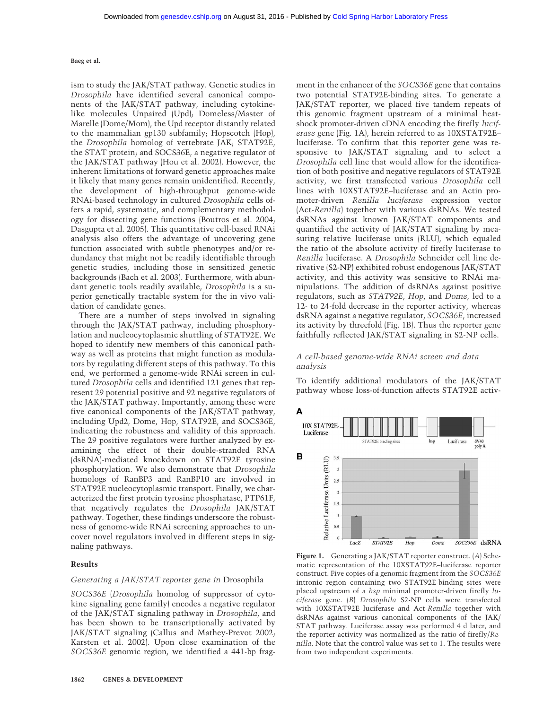ism to study the JAK/STAT pathway. Genetic studies in *Drosophila* have identified several canonical components of the JAK/STAT pathway, including cytokinelike molecules Unpaired (Upd); Domeless/Master of Marelle (Dome/Mom), the Upd receptor distantly related to the mammalian gp130 subfamily; Hopscotch (Hop), the *Drosophila* homolog of vertebrate JAK; STAT92E, the STAT protein; and SOCS36E, a negative regulator of the JAK/STAT pathway (Hou et al. 2002). However, the inherent limitations of forward genetic approaches make it likely that many genes remain unidentified. Recently, the development of high-throughput genome-wide RNAi-based technology in cultured *Drosophila* cells offers a rapid, systematic, and complementary methodology for dissecting gene functions (Boutros et al. 2004; Dasgupta et al. 2005). This quantitative cell-based RNAi analysis also offers the advantage of uncovering gene function associated with subtle phenotypes and/or redundancy that might not be readily identifiable through genetic studies, including those in sensitized genetic backgrounds (Bach et al. 2003). Furthermore, with abundant genetic tools readily available, *Drosophila* is a superior genetically tractable system for the in vivo validation of candidate genes.

There are a number of steps involved in signaling through the JAK/STAT pathway, including phosphorylation and nucleocytoplasmic shuttling of STAT92E. We hoped to identify new members of this canonical pathway as well as proteins that might function as modulators by regulating different steps of this pathway. To this end, we performed a genome-wide RNAi screen in cultured *Drosophila* cells and identified 121 genes that represent 29 potential positive and 92 negative regulators of the JAK/STAT pathway. Importantly, among these were five canonical components of the JAK/STAT pathway, including Upd2, Dome, Hop, STAT92E, and SOCS36E, indicating the robustness and validity of this approach. The 29 positive regulators were further analyzed by examining the effect of their double-stranded RNA (dsRNA)-mediated knockdown on STAT92E tyrosine phosphorylation. We also demonstrate that *Drosophila* homologs of RanBP3 and RanBP10 are involved in STAT92E nucleocytoplasmic transport. Finally, we characterized the first protein tyrosine phosphatase, PTP61F, that negatively regulates the *Drosophila* JAK/STAT pathway. Together, these findings underscore the robustness of genome-wide RNAi screening approaches to uncover novel regulators involved in different steps in signaling pathways.

#### **Results**

# *Generating a JAK/STAT reporter gene in* Drosophila

*SOCS36E* (*Drosophila* homolog of suppressor of cytokine signaling gene family) encodes a negative regulator of the JAK/STAT signaling pathway in *Drosophila*, and has been shown to be transcriptionally activated by JAK/STAT signaling (Callus and Mathey-Prevot 2002; Karsten et al. 2002). Upon close examination of the *SOCS36E* genomic region, we identified a 441-bp fragment in the enhancer of the *SOCS36E* gene that contains two potential STAT92E-binding sites. To generate a JAK/STAT reporter, we placed five tandem repeats of this genomic fragment upstream of a minimal heatshock promoter-driven cDNA encoding the firefly *luciferase* gene (Fig. 1A), herein referred to as 10XSTAT92E– luciferase. To confirm that this reporter gene was responsive to JAK/STAT signaling and to select a *Drosophila* cell line that would allow for the identification of both positive and negative regulators of STAT92E activity, we first transfected various *Drosophila* cell lines with 10XSTAT92E–luciferase and an Actin promoter-driven *Renilla luciferase* expression vector (Act-*Renilla*) together with various dsRNAs. We tested dsRNAs against known JAK/STAT components and quantified the activity of JAK/STAT signaling by measuring relative luciferase units (RLU), which equaled the ratio of the absolute activity of firefly luciferase to *Renilla* luciferase. A *Drosophila* Schneider cell line derivative (S2-NP) exhibited robust endogenous JAK/STAT activity, and this activity was sensitive to RNAi manipulations. The addition of dsRNAs against positive regulators, such as *STAT92E*, *Hop*, and *Dome*, led to a 12- to 24-fold decrease in the reporter activity, whereas dsRNA against a negative regulator, *SOCS36E*, increased its activity by threefold (Fig. 1B). Thus the reporter gene faithfully reflected JAK/STAT signaling in S2-NP cells.

## *A cell-based genome-wide RNAi screen and data analysis*

To identify additional modulators of the JAK/STAT pathway whose loss-of-function affects STAT92E activ-



**Figure 1.** Generating a JAK/STAT reporter construct. (*A*) Schematic representation of the 10XSTAT92E–luciferase reporter construct. Five copies of a genomic fragment from the *SOCS36E* intronic region containing two STAT92E-binding sites were placed upstream of a *hsp* minimal promoter-driven firefly *luciferase* gene. (*B*) *Drosophila* S2-NP cells were transfected with 10XSTAT92E–luciferase and Act-*Renilla* together with dsRNAs against various canonical components of the JAK/ STAT pathway. Luciferase assay was performed 4 d later, and the reporter activity was normalized as the ratio of firefly/*Renilla*. Note that the control value was set to 1. The results were from two independent experiments.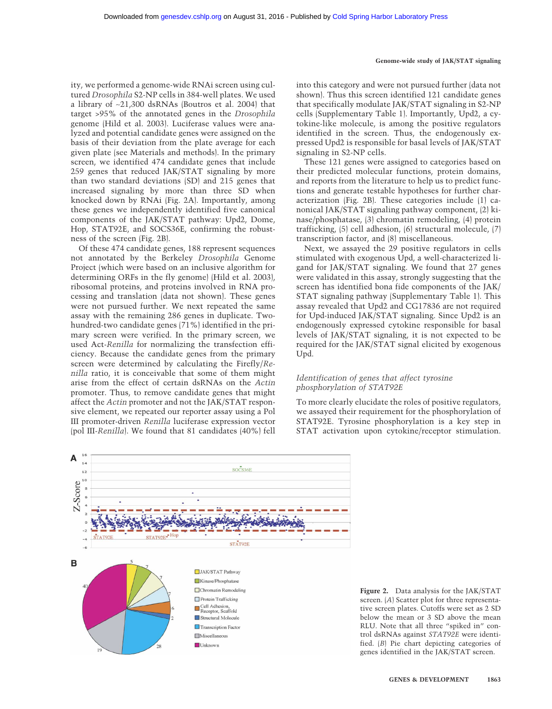ity, we performed a genome-wide RNAi screen using cultured *Drosophila* S2-NP cells in 384-well plates. We used a library of ∼21,300 dsRNAs (Boutros et al. 2004) that target >95% of the annotated genes in the *Drosophila* genome (Hild et al. 2003). Luciferase values were analyzed and potential candidate genes were assigned on the basis of their deviation from the plate average for each given plate (see Materials and methods). In the primary screen, we identified 474 candidate genes that include 259 genes that reduced JAK/STAT signaling by more than two standard deviations (SD) and 215 genes that increased signaling by more than three SD when knocked down by RNAi (Fig. 2A). Importantly, among these genes we independently identified five canonical components of the JAK/STAT pathway: Upd2, Dome, Hop, STAT92E, and SOCS36E, confirming the robustness of the screen (Fig. 2B).

Of these 474 candidate genes, 188 represent sequences not annotated by the Berkeley *Drosophila* Genome Project (which were based on an inclusive algorithm for determining ORFs in the fly genome) (Hild et al. 2003), ribosomal proteins, and proteins involved in RNA processing and translation (data not shown). These genes were not pursued further. We next repeated the same assay with the remaining 286 genes in duplicate. Twohundred-two candidate genes (71%) identified in the primary screen were verified. In the primary screen, we used Act-*Renilla* for normalizing the transfection efficiency. Because the candidate genes from the primary screen were determined by calculating the Firefly/*Renilla* ratio, it is conceivable that some of them might arise from the effect of certain dsRNAs on the *Actin* promoter. Thus, to remove candidate genes that might affect the *Actin* promoter and not the JAK/STAT responsive element, we repeated our reporter assay using a Pol III promoter-driven *Renilla* luciferase expression vector (pol III-*Renilla*). We found that 81 candidates (40%) fell into this category and were not pursued further (data not shown). Thus this screen identified 121 candidate genes that specifically modulate JAK/STAT signaling in S2-NP cells (Supplementary Table 1). Importantly, Upd2, a cytokine-like molecule, is among the positive regulators identified in the screen. Thus, the endogenously expressed Upd2 is responsible for basal levels of JAK/STAT signaling in S2-NP cells.

These 121 genes were assigned to categories based on their predicted molecular functions, protein domains, and reports from the literature to help us to predict functions and generate testable hypotheses for further characterization (Fig. 2B). These categories include (1) canonical JAK/STAT signaling pathway component, (2) kinase/phosphatase, (3) chromatin remodeling, (4) protein trafficking, (5) cell adhesion, (6) structural molecule, (7) transcription factor, and (8) miscellaneous.

Next, we assayed the 29 positive regulators in cells stimulated with exogenous Upd, a well-characterized ligand for JAK/STAT signaling. We found that 27 genes were validated in this assay, strongly suggesting that the screen has identified bona fide components of the JAK/ STAT signaling pathway (Supplementary Table 1). This assay revealed that Upd2 and CG17836 are not required for Upd-induced JAK/STAT signaling. Since Upd2 is an endogenously expressed cytokine responsible for basal levels of JAK/STAT signaling, it is not expected to be required for the JAK/STAT signal elicited by exogenous Upd.

# *Identification of genes that affect tyrosine phosphorylation of STAT92E*

To more clearly elucidate the roles of positive regulators, we assayed their requirement for the phosphorylation of STAT92E. Tyrosine phosphorylation is a key step in STAT activation upon cytokine/receptor stimulation.



**Figure 2.** Data analysis for the JAK/STAT screen. (*A*) Scatter plot for three representative screen plates. Cutoffs were set as 2 SD below the mean or 3 SD above the mean RLU. Note that all three "spiked in" control dsRNAs against *STAT92E* were identified. (*B*) Pie chart depicting categories of genes identified in the JAK/STAT screen.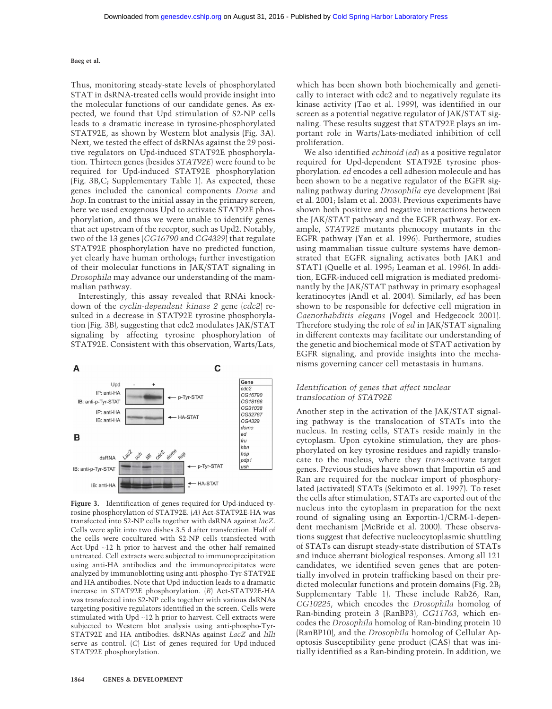Thus, monitoring steady-state levels of phosphorylated STAT in dsRNA-treated cells would provide insight into the molecular functions of our candidate genes. As expected, we found that Upd stimulation of S2-NP cells leads to a dramatic increase in tyrosine-phosphorylated STAT92E, as shown by Western blot analysis (Fig. 3A). Next, we tested the effect of dsRNAs against the 29 positive regulators on Upd-induced STAT92E phosphorylation. Thirteen genes (besides *STAT92E*) were found to be required for Upd-induced STAT92E phosphorylation (Fig. 3B,C; Supplementary Table 1). As expected, these genes included the canonical components *Dome* and *hop*. In contrast to the initial assay in the primary screen, here we used exogenous Upd to activate STAT92E phosphorylation, and thus we were unable to identify genes that act upstream of the receptor, such as Upd2. Notably, two of the 13 genes (*CG16790* and *CG4329*) that regulate STAT92E phosphorylation have no predicted function, yet clearly have human orthologs; further investigation of their molecular functions in JAK/STAT signaling in *Drosophila* may advance our understanding of the mammalian pathway.

Interestingly, this assay revealed that RNAi knockdown of the *cyclin-dependent kinase 2* gene (*cdc2*) resulted in a decrease in STAT92E tyrosine phosphorylation (Fig. 3B), suggesting that cdc2 modulates JAK/STAT signaling by affecting tyrosine phosphorylation of STAT92E. Consistent with this observation, Warts/Lats,



**Figure 3.** Identification of genes required for Upd-induced tyrosine phosphorylation of STAT92E. (*A*) Act-STAT92E-HA was transfected into S2-NP cells together with dsRNA against *lacZ*. Cells were split into two dishes 3.5 d after transfection. Half of the cells were cocultured with S2-NP cells transfected with Act-Upd ∼12 h prior to harvest and the other half remained untreated. Cell extracts were subjected to immunoprecipitation using anti-HA antibodies and the immunoprecipitates were analyzed by immunoblotting using anti-phospho-Tyr-STAT92E and HA antibodies. Note that Upd-induction leads to a dramatic increase in STAT92E phosphorylation. (*B*) Act-STAT92E-HA was transfected into S2-NP cells together with various dsRNAs targeting positive regulators identified in the screen. Cells were stimulated with Upd ∼12 h prior to harvest. Cell extracts were subjected to Western blot analysis using anti-phospho-Tyr-STAT92E and HA antibodies. dsRNAs against *LacZ* and *lilli* serve as control. (*C*) List of genes required for Upd-induced STAT92E phosphorylation.

which has been shown both biochemically and genetically to interact with cdc2 and to negatively regulate its kinase activity (Tao et al. 1999), was identified in our screen as a potential negative regulator of JAK/STAT signaling. These results suggest that STAT92E plays an important role in Warts/Lats-mediated inhibition of cell proliferation.

We also identified *echinoid* (*ed*) as a positive regulator required for Upd-dependent STAT92E tyrosine phosphorylation. *ed* encodes a cell adhesion molecule and has been shown to be a negative regulator of the EGFR signaling pathway during *Drosophila* eye development (Bai et al. 2001; Islam et al. 2003). Previous experiments have shown both positive and negative interactions between the JAK/STAT pathway and the EGFR pathway. For example, *STAT92E* mutants phenocopy mutants in the EGFR pathway (Yan et al. 1996). Furthermore, studies using mammalian tissue culture systems have demonstrated that EGFR signaling activates both JAK1 and STAT1 (Quelle et al. 1995; Leaman et al. 1996). In addition, EGFR-induced cell migration is mediated predominantly by the JAK/STAT pathway in primary esophageal keratinocytes (Andl et al. 2004). Similarly, *ed* has been shown to be responsible for defective cell migration in *Caenorhabditis elegans* (Vogel and Hedgecock 2001). Therefore studying the role of *ed* in JAK/STAT signaling in different contexts may facilitate our understanding of the genetic and biochemical mode of STAT activation by EGFR signaling, and provide insights into the mechanisms governing cancer cell metastasis in humans.

## *Identification of genes that affect nuclear translocation of STAT92E*

Another step in the activation of the JAK/STAT signaling pathway is the translocation of STATs into the nucleus. In resting cells, STATs reside mainly in the cytoplasm. Upon cytokine stimulation, they are phosphorylated on key tyrosine residues and rapidly translocate to the nucleus, where they *trans*-activate target genes. Previous studies have shown that Importin  $\alpha$ 5 and Ran are required for the nuclear import of phosphorylated (activated) STATs (Sekimoto et al. 1997). To reset the cells after stimulation, STATs are exported out of the nucleus into the cytoplasm in preparation for the next round of signaling using an Exportin-1/CRM-1-dependent mechanism (McBride et al. 2000). These observations suggest that defective nucleocytoplasmic shuttling of STATs can disrupt steady-state distribution of STATs and induce aberrant biological responses. Among all 121 candidates, we identified seven genes that are potentially involved in protein trafficking based on their predicted molecular functions and protein domains (Fig. 2B; Supplementary Table 1). These include Rab26, Ran, *CG10225*, which encodes the *Drosophila* homolog of Ran-binding protein 3 (RanBP3), *CG11763*, which encodes the *Drosophila* homolog of Ran-binding protein 10 (RanBP10), and the *Drosophila* homolog of Cellular Apoptosis Susceptibility gene product (CAS) that was initially identified as a Ran-binding protein. In addition, we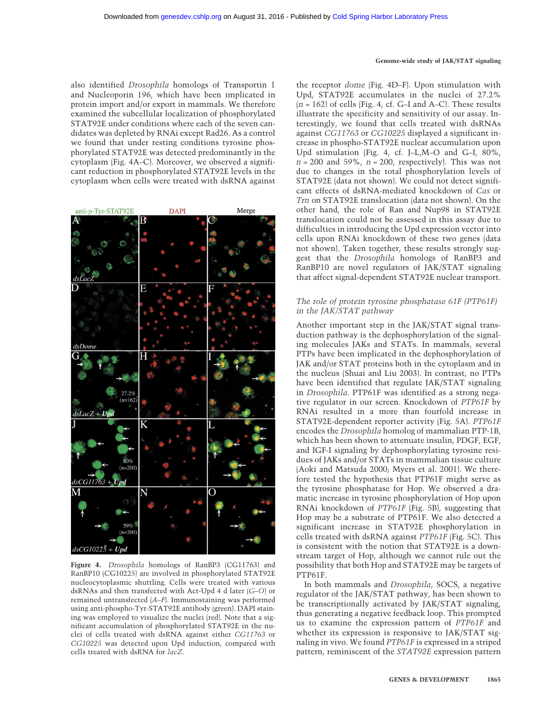also identified *Drosophila* homologs of Transportin 1 and Nucleoporin 196, which have been implicated in protein import and/or export in mammals. We therefore examined the subcellular localization of phosphorylated STAT92E under conditions where each of the seven candidates was depleted by RNAi except Rad26. As a control we found that under resting conditions tyrosine phosphorylated STAT92E was detected predominantly in the cytoplasm (Fig. 4A–C). Moreover, we observed a significant reduction in phosphorylated STAT92E levels in the cytoplasm when cells were treated with dsRNA against



**Figure 4.** *Drosophila* homologs of RanBP3 (CG11763) and RanBP10 (CG10225) are involved in phosphorylated STAT92E nucleocytoplasmic shuttling. Cells were treated with various dsRNAs and then transfected with Act-Upd 4 d later (*G–O*) or remained untransfected (*A–F*). Immunostaining was performed using anti-phospho-Tyr-STAT92E antibody (green). DAPI staining was employed to visualize the nuclei (red). Note that a significant accumulation of phosphorylated STAT92E in the nuclei of cells treated with dsRNA against either *CG11763* or *CG10225* was detected upon Upd induction, compared with cells treated with dsRNA for *lacZ*.

the receptor *dome* (Fig. 4D–F). Upon stimulation with Upd, STAT92E accumulates in the nuclei of 27.2%  $(n = 162)$  of cells (Fig. 4, cf. G–I and A–C). These results illustrate the specificity and sensitivity of our assay. Interestingly, we found that cells treated with dsRNAs against *CG11763* or *CG10225* displayed a significant increase in phospho-STAT92E nuclear accumulation upon Upd stimulation (Fig. 4, cf. J–L,M–O and G–I, 80%,  $n = 200$  and 59%,  $n = 200$ , respectively). This was not due to changes in the total phosphorylation levels of STAT92E (data not shown). We could not detect significant effects of dsRNA-mediated knockdown of *Cas* or *Trn* on STAT92E translocation (data not shown). On the other hand, the role of Ran and Nup98 in STAT92E translocation could not be assessed in this assay due to difficulties in introducing the Upd expression vector into cells upon RNAi knockdown of these two genes (data not shown). Taken together, these results strongly suggest that the *Drosophila* homologs of RanBP3 and RanBP10 are novel regulators of JAK/STAT signaling that affect signal-dependent STAT92E nuclear transport.

# *The role of protein tyrosine phosphatase 61F (PTP61F) in the JAK/STAT pathway*

Another important step in the JAK/STAT signal transduction pathway is the dephosphorylation of the signaling molecules JAKs and STATs. In mammals, several PTPs have been implicated in the dephosphorylation of JAK and/or STAT proteins both in the cytoplasm and in the nucleus (Shuai and Liu 2003). In contrast, no PTPs have been identified that regulate JAK/STAT signaling in *Drosophila*. PTP61F was identified as a strong negative regulator in our screen. Knockdown of *PTP61F* by RNAi resulted in a more than fourfold increase in STAT92E-dependent reporter activity (Fig. 5A). *PTP61F* encodes the *Drosophila* homolog of mammalian PTP-1B, which has been shown to attenuate insulin, PDGF, EGF, and IGF-I signaling by dephosphorylating tyrosine residues of JAKs and/or STATs in mammalian tissue culture (Aoki and Matsuda 2000; Myers et al. 2001). We therefore tested the hypothesis that PTP61F might serve as the tyrosine phosphatase for Hop. We observed a dramatic increase in tyrosine phosphorylation of Hop upon RNAi knockdown of *PTP61F* (Fig. 5B), suggesting that Hop may be a substrate of PTP61F. We also detected a significant increase in STAT92E phosphorylation in cells treated with dsRNA against *PTP61F* (Fig. 5C). This is consistent with the notion that STAT92E is a downstream target of Hop, although we cannot rule out the possibility that both Hop and STAT92E may be targets of PTP61F.

In both mammals and *Drosophila*, SOCS, a negative regulator of the JAK/STAT pathway, has been shown to be transcriptionally activated by JAK/STAT signaling, thus generating a negative feedback loop. This prompted us to examine the expression pattern of *PTP61F* and whether its expression is responsive to JAK/STAT signaling in vivo. We found *PTP61F* is expressed in a striped pattern, reminiscent of the *STAT92E* expression pattern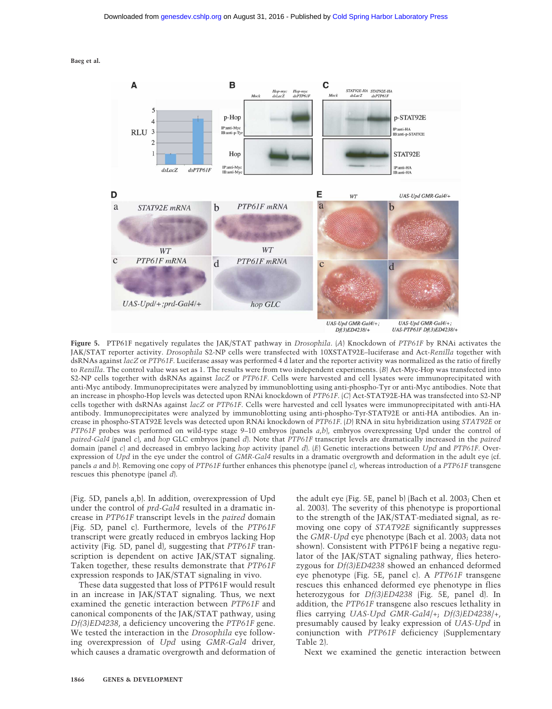

**Figure 5.** PTP61F negatively regulates the JAK/STAT pathway in *Drosophila*. (*A*) Knockdown of *PTP61F* by RNAi activates the JAK/STAT reporter activity. *Drosophila* S2-NP cells were transfected with 10XSTAT92E–luciferase and Act-*Renilla* together with dsRNAs against *lacZ* or *PTP61F*. Luciferase assay was performed 4 d later and the reporter activity was normalized as the ratio of firefly to *Renilla*. The control value was set as 1. The results were from two independent experiments. (*B*) Act-Myc-Hop was transfected into S2-NP cells together with dsRNAs against *lacZ* or *PTP61F*. Cells were harvested and cell lysates were immunoprecipitated with anti-Myc antibody. Immunoprecipitates were analyzed by immunoblotting using anti-phospho-Tyr or anti-Myc antibodies. Note that an increase in phospho-Hop levels was detected upon RNAi knockdown of *PTP61F*. (*C*) Act-STAT92E-HA was transfected into S2-NP cells together with dsRNAs against *lacZ* or *PTP61F*. Cells were harvested and cell lysates were immunoprecipitated with anti-HA antibody. Immunoprecipitates were analyzed by immunoblotting using anti-phospho-Tyr-STAT92E or anti-HA antibodies. An increase in phospho-STAT92E levels was detected upon RNAi knockdown of *PTP61F*. (*D*) RNA in situ hybridization using *STAT92E* or *PTP61F* probes was performed on wild-type stage 9–10 embryos (panels *a*,*b*), embryos overexpressing Upd under the control of *paired-Gal4* (panel *c*), and *hop* GLC embryos (panel *d*). Note that *PTP61F* transcript levels are dramatically increased in the *paired* domain (panel *c*) and decreased in embryo lacking *hop* activity (panel *d*). (*E*) Genetic interactions between *Upd* and *PTP61F*. Overexpression of *Upd* in the eye under the control of *GMR-Gal4* results in a dramatic overgrowth and deformation in the adult eye (cf. panels *a* and *b*). Removing one copy of *PTP61F* further enhances this phenotype (panel *c*), whereas introduction of a *PTP61F* transgene rescues this phenotype (panel *d*).

(Fig. 5D, panels a,b). In addition, overexpression of Upd under the control of *prd*-*Gal4* resulted in a dramatic increase in *PTP61F* transcript levels in the *paired* domain (Fig. 5D, panel c). Furthermore, levels of the *PTP61F* transcript were greatly reduced in embryos lacking Hop activity (Fig. 5D, panel d), suggesting that *PTP61F* transcription is dependent on active JAK/STAT signaling. Taken together, these results demonstrate that *PTP61F* expression responds to JAK/STAT signaling in vivo.

These data suggested that loss of PTP61F would result in an increase in JAK/STAT signaling. Thus, we next examined the genetic interaction between *PTP61F* and canonical components of the JAK/STAT pathway, using *Df(3)ED4238*, a deficiency uncovering the *PTP61F* gene. We tested the interaction in the *Drosophila* eye following overexpression of *Upd* using *GMR-Gal4* driver, which causes a dramatic overgrowth and deformation of the adult eye (Fig. 5E, panel b) (Bach et al. 2003; Chen et al. 2003). The severity of this phenotype is proportional to the strength of the JAK/STAT-mediated signal, as removing one copy of *STAT92E* significantly suppresses the *GMR-Upd* eye phenotype (Bach et al. 2003; data not shown). Consistent with PTP61F being a negative regulator of the JAK/STAT signaling pathway, flies heterozygous for *Df(3)ED4238* showed an enhanced deformed eye phenotype (Fig. 5E, panel c). A *PTP61F* transgene rescues this enhanced deformed eye phenotype in flies heterozygous for *Df(3)ED4238* (Fig. 5E, panel d). In addition, the *PTP61F* transgene also rescues lethality in flies carrying *UAS-Upd GMR-Gal4*/+; *Df(3)ED4238*/+, presumably caused by leaky expression of *UAS-Upd* in conjunction with *PTP61F* deficiency (Supplementary Table 2).

Next we examined the genetic interaction between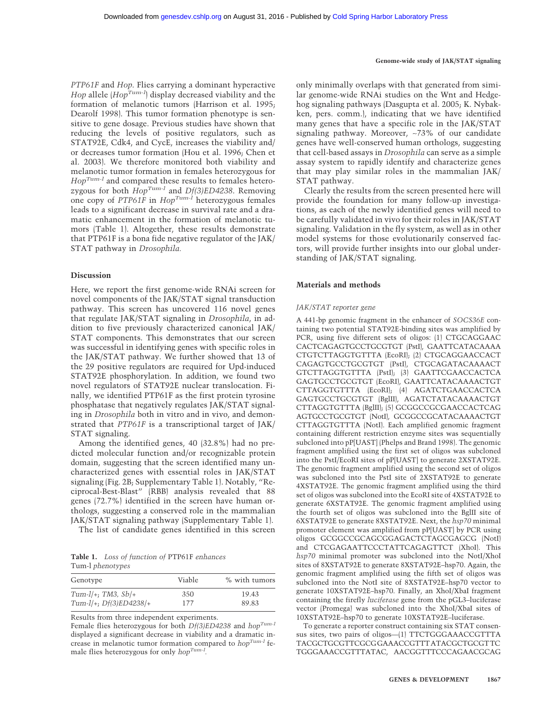*PTP61F* and *Hop*. Flies carrying a dominant hyperactive *Hop* allele (*Hop<sup>Tum-1</sup>*) display decreased viability and the formation of melanotic tumors (Harrison et al. 1995; Dearolf 1998). This tumor formation phenotype is sensitive to gene dosage. Previous studies have shown that reducing the levels of positive regulators, such as STAT92E, Cdk4, and CycE, increases the viability and/ or decreases tumor formation (Hou et al. 1996; Chen et al. 2003). We therefore monitored both viability and melanotic tumor formation in females heterozygous for *HopTum-l* and compared these results to females heterozygous for both *HopTum-l* and *Df(3)ED4238*. Removing one copy of *PTP61F* in *HopTum-l* heterozygous females leads to a significant decrease in survival rate and a dramatic enhancement in the formation of melanotic tumors (Table 1). Altogether, these results demonstrate that PTP61F is a bona fide negative regulator of the JAK/ STAT pathway in *Drosophila.*

#### **Discussion**

Here, we report the first genome-wide RNAi screen for novel components of the JAK/STAT signal transduction pathway. This screen has uncovered 116 novel genes that regulate JAK/STAT signaling in *Drosophila*, in addition to five previously characterized canonical JAK/ STAT components. This demonstrates that our screen was successful in identifying genes with specific roles in the JAK/STAT pathway. We further showed that 13 of the 29 positive regulators are required for Upd-induced STAT92E phosphorylation. In addition, we found two novel regulators of STAT92E nuclear translocation. Finally, we identified PTP61F as the first protein tyrosine phosphatase that negatively regulates JAK/STAT signaling in *Drosophila* both in vitro and in vivo, and demonstrated that *PTP61F* is a transcriptional target of JAK/ STAT signaling.

Among the identified genes, 40 (32.8%) had no predicted molecular function and/or recognizable protein domain, suggesting that the screen identified many uncharacterized genes with essential roles in JAK/STAT signaling (Fig. 2B; Supplementary Table 1). Notably, "Reciprocal-Best-Blast" (RBB) analysis revealed that 88 genes (72.7%) identified in the screen have human orthologs, suggesting a conserved role in the mammalian JAK/STAT signaling pathway (Supplementary Table 1). The list of candidate genes identified in this screen

**Table 1.** *Loss of function of* PTP61F *enhances* Tum-l *phenotypes*

| Genotype                 | Viable | % with tumors |  |
|--------------------------|--------|---------------|--|
| $Tum-1/+$ ; TM3, Sb/+    | 350    | 19.43         |  |
| Tum-l/+; $Df(3)ED4238/+$ | 177    | 89.83         |  |

Results from three independent experiments.

Female flies heterozygous for both *Df(3)ED4238* and *hopTum-l* displayed a significant decrease in viability and a dramatic increase in melanotic tumor formation compared to *hopTum-l* female flies heterozygous for only *hopTum-l.*

only minimally overlaps with that generated from similar genome-wide RNAi studies on the Wnt and Hedgehog signaling pathways (Dasgupta et al. 2005; K. Nybakken, pers. comm.), indicating that we have identified many genes that have a specific role in the JAK/STAT signaling pathway. Moreover, ∼73% of our candidate genes have well-conserved human orthologs, suggesting that cell-based assays in *Drosophila* can serve as a simple assay system to rapidly identify and characterize genes that may play similar roles in the mammalian JAK/ STAT pathway.

Clearly the results from the screen presented here will provide the foundation for many follow-up investigations, as each of the newly identified genes will need to be carefully validated in vivo for their roles in JAK/STAT signaling. Validation in the fly system, as well as in other model systems for those evolutionarily conserved factors, will provide further insights into our global understanding of JAK/STAT signaling.

#### **Materials and methods**

#### *JAK/STAT reporter gene*

A 441-bp genomic fragment in the enhancer of *SOCS36E* containing two potential STAT92E-binding sites was amplified by PCR, using five different sets of oligos: (1) CTGCAGGAAC CACTCAGAGTGCCTGCGTGT (PstI), GAATTCATACAAAA CTGTCTTAGGTGTTTA (EcoRI); (2) CTGCAGGAACCACT CAGAGTGCCTGCGTGT (PstI), CTGCAGATACAAAACT GTCTTAGGTGTTTA (PstI); (3) GAATTCGAACCACTCA GAGTGCCTGCGTGT (EcoRI), GAATTCATACAAAACTGT CTTAGGTGTTTA (EcoRI); (4) AGATCTGAACCACTCA GAGTGCCTGCGTGT (BglII), AGATCTATACAAAACTGT CTTAGGTGTTTA (BglII); (5) GCGGCCGCGAACCACTCAG AGTGCCTGCGTGT (NotI), GCGGCCGCATACAAAACTGT CTTAGGTGTTTA (NotI). Each amplified genomic fragment containing different restriction enzyme sites was sequentially subcloned into pP[UAST] (Phelps and Brand 1998). The genomic fragment amplified using the first set of oligos was subcloned into the PstI/EcoRI sites of pP[UAST] to generate 2XSTAT92E. The genomic fragment amplified using the second set of oligos was subcloned into the PstI site of 2XSTAT92E to generate 4XSTAT92E. The genomic fragment amplified using the third set of oligos was subcloned into the EcoRI site of 4XSTAT92E to generate 6XSTAT92E. The genomic fragment amplified using the fourth set of oligos was subcloned into the BglII site of 6XSTAT92E to generate 8XSTAT92E. Next, the *hsp70* minimal promoter element was amplified from pP[UAST] by PCR using oligos GCGGCCGCAGCGGAGACTCTAGCGAGCG (NotI) and CTCGAGAATTCCCTATTCAGAGTTCT (XhoI). This *hsp70* minimal promoter was subcloned into the NotI/XhoI sites of 8XSTAT92E to generate 8XSTAT92E–hsp70. Again, the genomic fragment amplified using the fifth set of oligos was subcloned into the NotI site of 8XSTAT92E–hsp70 vector to generate 10XSTAT92E–hsp70. Finally, an XhoI/XbaI fragment containing the firefly *luciferase* gene from the pGL3–luciferase vector (Promega) was subcloned into the XhoI/XbaI sites of 10XSTAT92E–hsp70 to generate 10XSTAT92E–luciferase.

To generate a reporter construct containing six STAT consensus sites, two pairs of oligos—(1) TTCTGGGAAACCGTTTA TACGCTGCGTTCGCGGAAACCGTTTATACGCTGCGTTC TGGGAAACCGTTTATAC, AACGGTTTCCCAGAACGCAG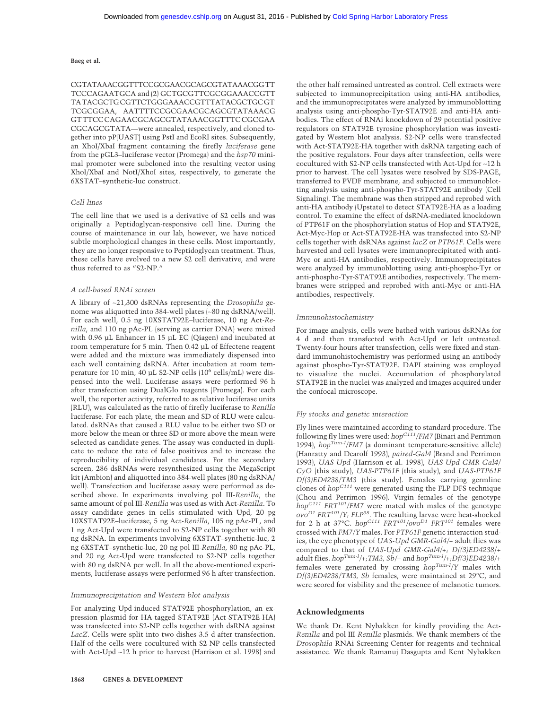CGTATAAACGGTTTCCGCGAACGCAGCGTATAAACGGTT TCCCAGAATGCA and (2) GCTGCGTTCGCGGAAACCGTT TATACGCTGCGTTCTGGGAAACCGTTTATACGCTGCGT TCGCGGAA, AATTTTCCGCGAACGCAGCGTATAAACG GTTTCCCAGAACGCAGCGTATAAACGGTTTCCGCGAA CGCAGCGTATA—were annealed, respectively, and cloned together into pP[UAST] using PstI and EcoRI sites. Subsequently, an XhoI/XbaI fragment containing the firefly *luciferase* gene from the pGL3–luciferase vector (Promega) and the *hsp70* minimal promoter were subcloned into the resulting vector using XhoI/XbaI and NotI/XhoI sites, respectively, to generate the 6XSTAT–synthetic-luc construct.

#### *Cell lines*

The cell line that we used is a derivative of S2 cells and was originally a Peptidoglycan-responsive cell line. During the course of maintenance in our lab, however, we have noticed subtle morphological changes in these cells. Most importantly, they are no longer responsive to Peptidoglycan treatment. Thus, these cells have evolved to a new S2 cell derivative, and were thus referred to as "S2-NP."

#### *A cell-based RNAi screen*

A library of ∼21,300 dsRNAs representing the *Drosophila* genome was aliquotted into 384-well plates (∼80 ng dsRNA/well). For each well, 0.5 ng 10XSTAT92E–luciferase, 10 ng Act-*Renilla*, and 110 ng pAc-PL (serving as carrier DNA) were mixed with 0.96 µL Enhancer in 15 µL EC (Qiagen) and incubated at room temperature for 5 min. Then 0.42 µL of Effectene reagent were added and the mixture was immediately dispensed into each well containing dsRNA. After incubation at room temperature for 10 min, 40 µL S2-NP cells (106 cells/mL) were dispensed into the well. Luciferase assays were performed 96 h after transfection using DualGlo reagents (Promega). For each well, the reporter activity, referred to as relative luciferase units (RLU), was calculated as the ratio of firefly luciferase to *Renilla* luciferase. For each plate, the mean and SD of RLU were calculated. dsRNAs that caused a RLU value to be either two SD or more below the mean or three SD or more above the mean were selected as candidate genes. The assay was conducted in duplicate to reduce the rate of false positives and to increase the reproducibility of individual candidates. For the secondary screen, 286 dsRNAs were resynthesized using the MegaScript kit (Ambion) and aliquotted into 384-well plates (80 ng dsRNA/ well). Transfection and luciferase assay were performed as described above. In experiments involving pol III-*Renilla*, the same amount of pol III-*Renilla* was used as with Act-*Renilla*. To assay candidate genes in cells stimulated with Upd, 20 pg 10XSTAT92E–luciferase, 5 ng Act-*Renilla*, 105 ng pAc-PL, and 1 ng Act-Upd were transfected to S2-NP cells together with 80 ng dsRNA. In experiments involving 6XSTAT–synthetic-luc, 2 ng 6XSTAT–synthetic-luc, 20 ng pol III-*Renilla*, 80 ng pAc-PL, and 20 ng Act-Upd were transfected to S2-NP cells together with 80 ng dsRNA per well. In all the above-mentioned experiments, luciferase assays were performed 96 h after transfection.

#### *Immunoprecipitation and Western blot analysis*

For analyzing Upd-induced STAT92E phosphorylation, an expression plasmid for HA-tagged STAT92E (Act-STAT92E-HA) was transfected into S2-NP cells together with dsRNA against *LacZ*. Cells were split into two dishes 3.5 d after transfection. Half of the cells were cocultured with S2-NP cells transfected with Act-Upd ∼12 h prior to harvest (Harrison et al. 1998) and the other half remained untreated as control. Cell extracts were subjected to immunoprecipitation using anti-HA antibodies, and the immunoprecipitates were analyzed by immunoblotting analysis using anti-phospho-Tyr-STAT92E and anti-HA antibodies. The effect of RNAi knockdown of 29 potential positive regulators on STAT92E tyrosine phosphorylation was investigated by Western blot analysis. S2-NP cells were transfected with Act-STAT92E-HA together with dsRNA targeting each of the positive regulators. Four days after transfection, cells were cocultured with S2-NP cells transfected with Act-Upd for ∼12 h prior to harvest. The cell lysates were resolved by SDS-PAGE, transferred to PVDF membrane, and subjected to immunoblotting analysis using anti-phospho-Tyr-STAT92E antibody (Cell Signaling). The membrane was then stripped and reprobed with anti-HA antibody (Upstate) to detect STAT92E-HA as a loading control. To examine the effect of dsRNA-mediated knockdown of PTP61F on the phosphorylation status of Hop and STAT92E, Act-Myc-Hop or Act-STAT92E-HA was transfected into S2-NP cells together with dsRNAs against *lacZ* or *PTP61F*. Cells were harvested and cell lysates were immunoprecipitated with anti-Myc or anti-HA antibodies, respectively. Immunoprecipitates were analyzed by immunoblotting using anti-phospho-Tyr or anti-phospho-Tyr-STAT92E antibodies, respectively. The membranes were stripped and reprobed with anti-Myc or anti-HA antibodies, respectively.

#### *Immunohistochemistry*

For image analysis, cells were bathed with various dsRNAs for 4 d and then transfected with Act-Upd or left untreated. Twenty-four hours after transfection, cells were fixed and standard immunohistochemistry was performed using an antibody against phospho-Tyr-STAT92E. DAPI staining was employed to visualize the nuclei. Accumulation of phosphorylated STAT92E in the nuclei was analyzed and images acquired under the confocal microscope.

#### *Fly stocks and genetic interaction*

Fly lines were maintained according to standard procedure. The following fly lines were used:  $hop^{CIII}/FM7$  (Binari and Perrimon 1994), *hopTum-l/FM7* (a dominant temperature-sensitive allele) (Hanratty and Dearolf 1993), *paired-Gal4* (Brand and Perrimon 1993), *UAS-Upd* (Harrison et al. 1998), *UAS-Upd GMR-Gal4/ CyO* (this study), *UAS-PTP61F* (this study), and *UAS-PTP61F Df(3)ED4238/TM3* (this study). Females carrying germline clones of *hop<sup>C111</sup>* were generated using the FLP-DFS technique (Chou and Perrimon 1996). Virgin females of the genotype *hopC111 FRT101/FM7* were mated with males of the genotype *ovoD1 FRT101/Y; FLP38*. The resulting larvae were heat-shocked for 2 h at 37°C.  $hop^{C111} FRT^{101}/ov^{D1} FRT^{101}$  females were crossed with *FM7/Y* males. For *PTP61F* genetic interaction studies, the eye phenotype of *UAS-Upd GMR-Gal4/+* adult flies was compared to that of *UAS-Upd GMR-Gal4/+; Df(3)ED4238*/+ adult flies. *hopTum-l/+;TM3, Sb/+* and *hopTum-l/+;Df(3)ED4238/+* females were generated by crossing *hopTum-l/Y* males with *Df(3)ED4238/TM3, Sb* females, were maintained at 29°C, and were scored for viability and the presence of melanotic tumors.

#### **Acknowledgments**

We thank Dr. Kent Nybakken for kindly providing the Act-*Renilla* and pol III-*Renilla* plasmids. We thank members of the *Drosophila* RNAi Screening Center for reagents and technical assistance. We thank Ramanuj Dasgupta and Kent Nybakken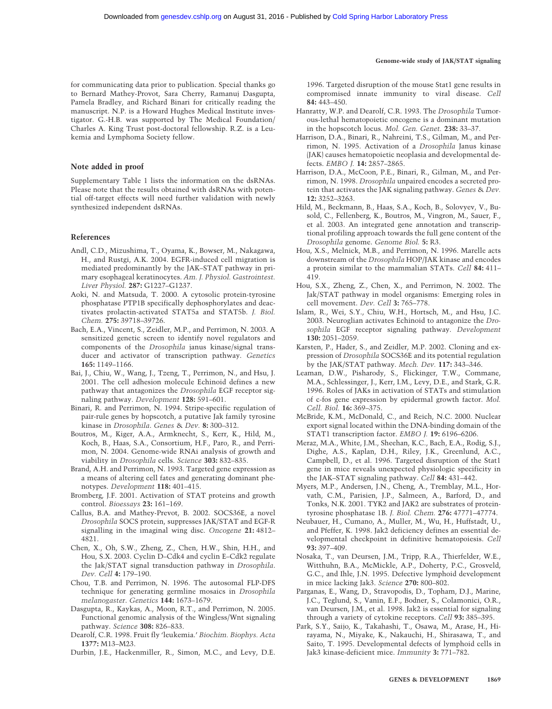for communicating data prior to publication. Special thanks go to Bernard Mathey-Provot, Sara Cherry, Ramanuj Dasgupta, Pamela Bradley, and Richard Binari for critically reading the manuscript. N.P. is a Howard Hughes Medical Institute investigator. G.-H.B. was supported by The Medical Foundation/ Charles A. King Trust post-doctoral fellowship. R.Z. is a Leukemia and Lymphoma Society fellow.

#### **Note added in proof**

Supplementary Table 1 lists the information on the dsRNAs. Please note that the results obtained with dsRNAs with potential off-target effects will need further validation with newly synthesized independent dsRNAs.

#### **References**

- Andl, C.D., Mizushima, T., Oyama, K., Bowser, M., Nakagawa, H., and Rustgi, A.K. 2004. EGFR-induced cell migration is mediated predominantly by the JAK–STAT pathway in primary esophageal keratinocytes. *Am. J. Physiol. Gastrointest. Liver Physiol.* **287:** G1227–G1237.
- Aoki, N. and Matsuda, T. 2000. A cytosolic protein-tyrosine phosphatase PTP1B specifically dephosphorylates and deactivates prolactin-activated STAT5a and STAT5b. *J. Biol. Chem.* **275:** 39718–39726.
- Bach, E.A., Vincent, S., Zeidler, M.P., and Perrimon, N. 2003. A sensitized genetic screen to identify novel regulators and components of the *Drosophila* janus kinase/signal transducer and activator of transcription pathway. *Genetics* **165:** 1149–1166.
- Bai, J., Chiu, W., Wang, J., Tzeng, T., Perrimon, N., and Hsu, J. 2001. The cell adhesion molecule Echinoid defines a new pathway that antagonizes the *Drosophila* EGF receptor signaling pathway. *Development* **128:** 591–601.
- Binari, R. and Perrimon, N. 1994. Stripe-specific regulation of pair-rule genes by hopscotch, a putative Jak family tyrosine kinase in *Drosophila*. *Genes* & *Dev.* **8:** 300–312.
- Boutros, M., Kiger, A.A., Armknecht, S., Kerr, K., Hild, M., Koch, B., Haas, S.A., Consortium, H.F., Paro, R., and Perrimon, N. 2004. Genome-wide RNAi analysis of growth and viability in *Drosophila* cells. *Science* **303:** 832–835.
- Brand, A.H. and Perrimon, N. 1993. Targeted gene expression as a means of altering cell fates and generating dominant phenotypes. *Development* **118:** 401–415.
- Bromberg, J.F. 2001. Activation of STAT proteins and growth control. *Bioessays* **23:** 161–169.
- Callus, B.A. and Mathey-Prevot, B. 2002. SOCS36E, a novel *Drosophila* SOCS protein, suppresses JAK/STAT and EGF-R signalling in the imaginal wing disc. *Oncogene* **21:** 4812– 4821.
- Chen, X., Oh, S.W., Zheng, Z., Chen, H.W., Shin, H.H., and Hou, S.X. 2003. Cyclin D–Cdk4 and cyclin E–Cdk2 regulate the Jak/STAT signal transduction pathway in *Drosophila*. *Dev. Cell* **4:** 179–190.
- Chou, T.B. and Perrimon, N. 1996. The autosomal FLP-DFS technique for generating germline mosaics in *Drosophila melanogaster*. *Genetics* **144:** 1673–1679.
- Dasgupta, R., Kaykas, A., Moon, R.T., and Perrimon, N. 2005. Functional genomic analysis of the Wingless/Wnt signaling pathway. *Science* **308:** 826–833.
- Dearolf, C.R. 1998. Fruit fly 'leukemia.' *Biochim. Biophys. Acta* **1377:** M13–M23.
- Durbin, J.E., Hackenmiller, R., Simon, M.C., and Levy, D.E.

1996. Targeted disruption of the mouse Stat1 gene results in compromised innate immunity to viral disease. *Cell* **84:** 443–450.

- Hanratty, W.P. and Dearolf, C.R. 1993. The *Drosophila* Tumorous-lethal hematopoietic oncogene is a dominant mutation in the hopscotch locus. *Mol. Gen. Genet.* **238:** 33–37.
- Harrison, D.A., Binari, R., Nahreini, T.S., Gilman, M., and Perrimon, N. 1995. Activation of a *Drosophila* Janus kinase (JAK) causes hematopoietic neoplasia and developmental defects. *EMBO J.* **14:** 2857–2865.
- Harrison, D.A., McCoon, P.E., Binari, R., Gilman, M., and Perrimon, N. 1998. *Drosophila* unpaired encodes a secreted protein that activates the JAK signaling pathway. *Genes* & *Dev.* **12:** 3252–3263.
- Hild, M., Beckmann, B., Haas, S.A., Koch, B., Solovyev, V., Busold, C., Fellenberg, K., Boutros, M., Vingron, M., Sauer, F., et al. 2003. An integrated gene annotation and transcriptional profiling approach towards the full gene content of the *Drosophila* genome. *Genome Biol.* **5:** R3.
- Hou, X.S., Melnick, M.B., and Perrimon, N. 1996. Marelle acts downstream of the *Drosophila* HOP/JAK kinase and encodes a protein similar to the mammalian STATs. *Cell* **84:** 411– 419.
- Hou, S.X., Zheng, Z., Chen, X., and Perrimon, N. 2002. The Jak/STAT pathway in model organisms: Emerging roles in cell movement. *Dev. Cell* **3:** 765–778.
- Islam, R., Wei, S.Y., Chiu, W.H., Hortsch, M., and Hsu, J.C. 2003. Neuroglian activates Echinoid to antagonize the *Drosophila* EGF receptor signaling pathway. *Development* **130:** 2051–2059.
- Karsten, P., Hader, S., and Zeidler, M.P. 2002. Cloning and expression of *Drosophila* SOCS36E and its potential regulation by the JAK/STAT pathway. *Mech. Dev.* **117:** 343–346.
- Leaman, D.W., Pisharody, S., Flickinger, T.W., Commane, M.A., Schlessinger, J., Kerr, I.M., Levy, D.E., and Stark, G.R. 1996. Roles of JAKs in activation of STATs and stimulation of c-fos gene expression by epidermal growth factor. *Mol. Cell. Biol.* **16:** 369–375.
- McBride, K.M., McDonald, C., and Reich, N.C. 2000. Nuclear export signal located within the DNA-binding domain of the STAT1 transcription factor. *EMBO J.* **19:** 6196–6206.
- Meraz, M.A., White, J.M., Sheehan, K.C., Bach, E.A., Rodig, S.J., Dighe, A.S., Kaplan, D.H., Riley, J.K., Greenlund, A.C., Campbell, D., et al. 1996. Targeted disruption of the Stat1 gene in mice reveals unexpected physiologic specificity in the JAK–STAT signaling pathway. *Cell* **84:** 431–442.
- Myers, M.P., Andersen, J.N., Cheng, A., Tremblay, M.L., Horvath, C.M., Parisien, J.P., Salmeen, A., Barford, D., and Tonks, N.K. 2001. TYK2 and JAK2 are substrates of proteintyrosine phosphatase 1B. *J. Biol. Chem.* **276:** 47771–47774.
- Neubauer, H., Cumano, A., Muller, M., Wu, H., Huffstadt, U., and Pfeffer, K. 1998. Jak2 deficiency defines an essential developmental checkpoint in definitive hematopoiesis. *Cell* **93:** 397–409.
- Nosaka, T., van Deursen, J.M., Tripp, R.A., Thierfelder, W.E., Witthuhn, B.A., McMickle, A.P., Doherty, P.C., Grosveld, G.C., and Ihle, J.N. 1995. Defective lymphoid development in mice lacking Jak3. *Science* **270:** 800–802.
- Parganas, E., Wang, D., Stravopodis, D., Topham, D.J., Marine, J.C., Teglund, S., Vanin, E.F., Bodner, S., Colamonici, O.R., van Deursen, J.M., et al. 1998. Jak2 is essential for signaling through a variety of cytokine receptors. *Cell* **93:** 385–395.
- Park, S.Y., Saijo, K., Takahashi, T., Osawa, M., Arase, H., Hirayama, N., Miyake, K., Nakauchi, H., Shirasawa, T., and Saito, T. 1995. Developmental defects of lymphoid cells in Jak3 kinase-deficient mice. *Immunity* **3:** 771–782.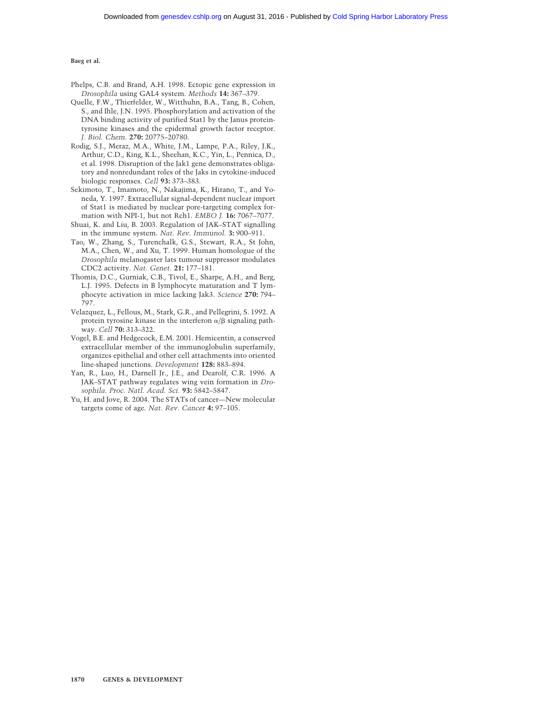- Phelps, C.B. and Brand, A.H. 1998. Ectopic gene expression in *Drosophila* using GAL4 system. *Methods* **14:** 367–379.
- Quelle, F.W., Thierfelder, W., Witthuhn, B.A., Tang, B., Cohen, S., and Ihle, J.N. 1995. Phosphorylation and activation of the DNA binding activity of purified Stat1 by the Janus proteintyrosine kinases and the epidermal growth factor receptor. *J. Biol. Chem.* **270:** 20775–20780.
- Rodig, S.J., Meraz, M.A., White, J.M., Lampe, P.A., Riley, J.K., Arthur, C.D., King, K.L., Sheehan, K.C., Yin, L., Pennica, D., et al. 1998. Disruption of the Jak1 gene demonstrates obligatory and nonredundant roles of the Jaks in cytokine-induced biologic responses. *Cell* **93:** 373–383.
- Sekimoto, T., Imamoto, N., Nakajima, K., Hirano, T., and Yoneda, Y. 1997. Extracellular signal-dependent nuclear import of Stat1 is mediated by nuclear pore-targeting complex formation with NPI-1, but not Rch1. *EMBO J.* **16:** 7067–7077.
- Shuai, K. and Liu, B. 2003. Regulation of JAK–STAT signalling in the immune system. *Nat. Rev. Immunol.* **3:** 900–911.
- Tao, W., Zhang, S., Turenchalk, G.S., Stewart, R.A., St John, M.A., Chen, W., and Xu, T. 1999. Human homologue of the *Drosophila* melanogaster lats tumour suppressor modulates CDC2 activity. *Nat. Genet.* **21:** 177–181.
- Thomis, D.C., Gurniak, C.B., Tivol, E., Sharpe, A.H., and Berg, L.J. 1995. Defects in B lymphocyte maturation and T lymphocyte activation in mice lacking Jak3. *Science* **270:** 794– 797.
- Velazquez, L., Fellous, M., Stark, G.R., and Pellegrini, S. 1992. A protein tyrosine kinase in the interferon  $\alpha/\beta$  signaling pathway. *Cell* **70:** 313–322.
- Vogel, B.E. and Hedgecock, E.M. 2001. Hemicentin, a conserved extracellular member of the immunoglobulin superfamily, organizes epithelial and other cell attachments into oriented line-shaped junctions. *Development* **128:** 883–894.
- Yan, R., Luo, H., Darnell Jr., J.E., and Dearolf, C.R. 1996. A JAK–STAT pathway regulates wing vein formation in *Drosophila*. *Proc. Natl. Acad. Sci.* **93:** 5842–5847.
- Yu, H. and Jove, R. 2004. The STATs of cancer—New molecular targets come of age. *Nat. Rev. Cancer* **4:** 97–105.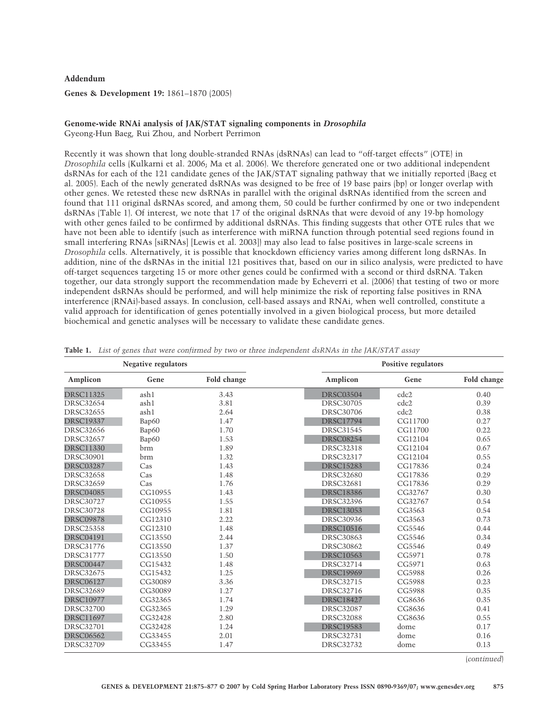# **Addendum**

**Genes & Development 19:** 1861–1870 (2005)

# **Genome-wide RNAi analysis of JAK/STAT signaling components in** *Drosophila*

Gyeong-Hun Baeg, Rui Zhou, and Norbert Perrimon

Recently it was shown that long double-stranded RNAs (dsRNAs) can lead to "off-target effects" (OTE) in *Drosophila* cells (Kulkarni et al. 2006; Ma et al. 2006). We therefore generated one or two additional independent dsRNAs for each of the 121 candidate genes of the JAK/STAT signaling pathway that we initially reported (Baeg et al. 2005). Each of the newly generated dsRNAs was designed to be free of 19 base pairs (bp) or longer overlap with other genes. We retested these new dsRNAs in parallel with the original dsRNAs identified from the screen and found that 111 original dsRNAs scored, and among them, 50 could be further confirmed by one or two independent dsRNAs (Table 1). Of interest, we note that 17 of the original dsRNAs that were devoid of any 19-bp homology with other genes failed to be confirmed by additional dsRNAs. This finding suggests that other OTE rules that we have not been able to identify (such as interference with miRNA function through potential seed regions found in small interfering RNAs [siRNAs] [Lewis et al. 2003]] may also lead to false positives in large-scale screens in *Drosophila* cells. Alternatively, it is possible that knockdown efficiency varies among different long dsRNAs. In addition, nine of the dsRNAs in the initial 121 positives that, based on our in silico analysis, were predicted to have off-target sequences targeting 15 or more other genes could be confirmed with a second or third dsRNA. Taken together, our data strongly support the recommendation made by Echeverri et al. (2006) that testing of two or more independent dsRNAs should be performed, and will help minimize the risk of reporting false positives in RNA interference (RNAi)-based assays. In conclusion, cell-based assays and RNAi, when well controlled, constitute a valid approach for identification of genes potentially involved in a given biological process, but more detailed biochemical and genetic analyses will be necessary to validate these candidate genes.

| Negative regulators |         | Positive regulators |                  |         |             |
|---------------------|---------|---------------------|------------------|---------|-------------|
| Amplicon            | Gene    | Fold change         | Amplicon         | Gene    | Fold change |
| <b>DRSC11325</b>    | ash1    | 3.43                | <b>DRSC03504</b> | cdc2    | 0.40        |
| <b>DRSC32654</b>    | ash1    | 3.81                | <b>DRSC30705</b> | cdc2    | 0.39        |
| <b>DRSC32655</b>    | ash1    | 2.64                | <b>DRSC30706</b> | cdc2    | 0.38        |
| <b>DRSC19337</b>    | Bap60   | 1.47                | <b>DRSC17794</b> | CG11700 | 0.27        |
| <b>DRSC32656</b>    | Bap60   | 1.70                | <b>DRSC31545</b> | CG11700 | 0.22        |
| <b>DRSC32657</b>    | Bap60   | 1.53                | <b>DRSC08254</b> | CG12104 | 0.65        |
| <b>DRSC11330</b>    | brm     | 1.89                | <b>DRSC32318</b> | CG12104 | 0.67        |
| <b>DRSC30901</b>    | brm     | 1.32                | <b>DRSC32317</b> | CG12104 | 0.55        |
| <b>DRSC03287</b>    | Cas     | 1.43                | <b>DRSC15283</b> | CG17836 | 0.24        |
| <b>DRSC32658</b>    | Cas     | 1.48                | <b>DRSC32680</b> | CG17836 | 0.29        |
| <b>DRSC32659</b>    | Cas     | 1.76                | <b>DRSC32681</b> | CG17836 | 0.29        |
| <b>DRSC04085</b>    | CG10955 | 1.43                | <b>DRSC18386</b> | CG32767 | 0.30        |
| <b>DRSC30727</b>    | CG10955 | 1.55                | <b>DRSC32396</b> | CG32767 | 0.54        |
| <b>DRSC30728</b>    | CG10955 | 1.81                | <b>DRSC13053</b> | CG3563  | 0.54        |
| <b>DRSC09878</b>    | CG12310 | 2.22                | <b>DRSC30936</b> | CG3563  | 0.73        |
| <b>DRSC25358</b>    | CG12310 | 1.48                | <b>DRSC10516</b> | CG5546  | 0.44        |
| <b>DRSC04191</b>    | CG13550 | 2.44                | <b>DRSC30863</b> | CG5546  | 0.34        |
| <b>DRSC31776</b>    | CG13550 | 1.37                | <b>DRSC30862</b> | CG5546  | 0.49        |
| <b>DRSC31777</b>    | CG13550 | 1.50                | <b>DRSC10563</b> | CG5971  | 0.78        |
| <b>DRSC00447</b>    | CG15432 | 1.48                | <b>DRSC32714</b> | CG5971  | 0.63        |
| <b>DRSC32675</b>    | CG15432 | 1.25                | <b>DRSC19969</b> | CG5988  | 0.26        |
| <b>DRSC06127</b>    | CG30089 | 3.36                | <b>DRSC32715</b> | CG5988  | 0.23        |
| <b>DRSC32689</b>    | CG30089 | 1.27                | <b>DRSC32716</b> | CG5988  | 0.35        |
| <b>DRSC10977</b>    | CG32365 | 1.74                | <b>DRSC18427</b> | CG8636  | 0.35        |
| <b>DRSC32700</b>    | CG32365 | 1.29                | <b>DRSC32087</b> | CG8636  | 0.41        |
| <b>DRSC11697</b>    | CG32428 | 2.80                | <b>DRSC32088</b> | CG8636  | 0.55        |
| <b>DRSC32701</b>    | CG32428 | 1.24                | <b>DRSC19583</b> | dome    | 0.17        |
| <b>DRSC06562</b>    | CG33455 | 2.01                | <b>DRSC32731</b> | dome    | 0.16        |
| <b>DRSC32709</b>    | CG33455 | 1.47                | <b>DRSC32732</b> | dome    | 0.13        |

|  |  |  |  | Table 1. List of genes that were confirmed by two or three independent dsRNAs in the JAK/STAT assay |  |
|--|--|--|--|-----------------------------------------------------------------------------------------------------|--|
|--|--|--|--|-----------------------------------------------------------------------------------------------------|--|

(*continued*)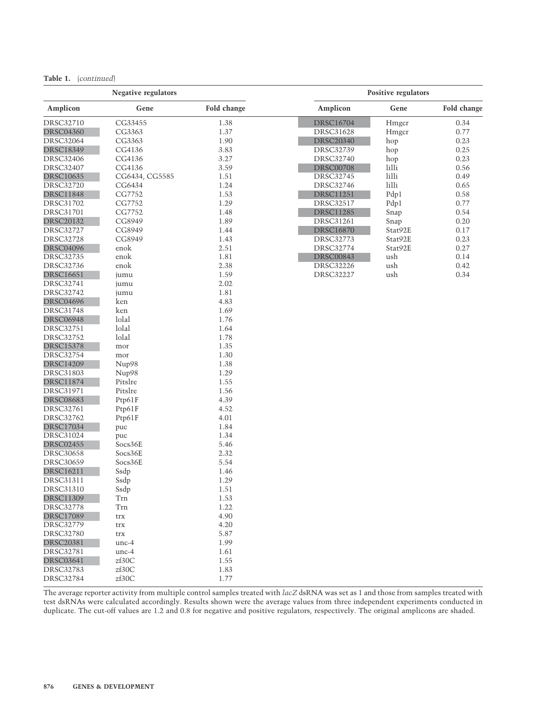| Table 1. |  | (continued) |  |
|----------|--|-------------|--|
|----------|--|-------------|--|

| <b>Negative regulators</b> |                |             | Positive regulators |          |             |
|----------------------------|----------------|-------------|---------------------|----------|-------------|
| Amplicon                   | Gene           | Fold change | Amplicon            | Gene     | Fold change |
| <b>DRSC32710</b>           | CG33455        | 1.38        | <b>DRSC16704</b>    | Hmgcr    | 0.34        |
| <b>DRSC04360</b>           | CG3363         | 1.37        | <b>DRSC31628</b>    | Hmgcr    | 0.77        |
| <b>DRSC32064</b>           | CG3363         | 1.90        | <b>DRSC20340</b>    | hop      | 0.23        |
| <b>DRSC18349</b>           | CG4136         | 3.83        | <b>DRSC32739</b>    | hop      | 0.25        |
| <b>DRSC32406</b>           | CG4136         | 3.27        | <b>DRSC32740</b>    | hop      | 0.23        |
| <b>DRSC32407</b>           | CG4136         | 3.59        | <b>DRSC00708</b>    | lilli    | 0.56        |
| <b>DRSC10635</b>           | CG6434, CG5585 | 1.51        | DRSC32745           | lilli    | 0.49        |
| <b>DRSC32720</b>           | CG6434         | 1.24        | <b>DRSC32746</b>    | $1$ illi | 0.65        |
| <b>DRSC11848</b>           | CG7752         | 1.53        | <b>DRSC11251</b>    | Pdp1     | 0.58        |
| DRSC31702                  | CG7752         | 1.29        | <b>DRSC32517</b>    | Pdp1     | 0.77        |
| <b>DRSC31701</b>           | CG7752         | 1.48        | <b>DRSC11285</b>    | Snap     | 0.54        |
| <b>DRSC20132</b>           | CG8949         | 1.89        | <b>DRSC31261</b>    | Snap     | 0.20        |
| <b>DRSC32727</b>           | CG8949         | 1.44        | <b>DRSC16870</b>    | Stat92E  | 0.17        |
| <b>DRSC32728</b>           | CG8949         | 1.43        | <b>DRSC32773</b>    | Stat92E  | 0.23        |
| <b>DRSC04096</b>           | enok           | 2.51        | DRSC32774           | Stat92E  | 0.27        |
| DRSC32735                  | enok           | 1.81        | <b>DRSC00843</b>    | ush      | 0.14        |
| <b>DRSC32736</b>           | enok           | 2.38        | <b>DRSC32226</b>    | ush      | 0.42        |
| <b>DRSC16651</b>           | jumu           | 1.59        | <b>DRSC32227</b>    | ush      | 0.34        |
| DRSC32741                  | jumu           | 2.02        |                     |          |             |
| <b>DRSC32742</b>           | jumu           | 1.81        |                     |          |             |
| <b>DRSC04696</b>           | ken            | 4.83        |                     |          |             |
| <b>DRSC31748</b>           | ken            | 1.69        |                     |          |             |
| <b>DRSC06948</b>           | lolal          | 1.76        |                     |          |             |
| <b>DRSC32751</b>           | lolal          | 1.64        |                     |          |             |
| <b>DRSC32752</b>           | lolal          | 1.78        |                     |          |             |
| <b>DRSC15378</b>           | mor            | 1.35        |                     |          |             |
| <b>DRSC32754</b>           | mor            | 1.30        |                     |          |             |
| <b>DRSC14209</b>           | Nup98          | 1.38        |                     |          |             |
| <b>DRSC31803</b>           | Nup98          | 1.29        |                     |          |             |
| <b>DRSC11874</b>           | Pitslre        | 1.55        |                     |          |             |
| <b>DRSC31971</b>           | Pitslre        | 1.56        |                     |          |             |
| <b>DRSC08683</b>           | Ptp61F         | 4.39        |                     |          |             |
| DRSC32761                  | Ptp61F         | 4.52        |                     |          |             |
| <b>DRSC32762</b>           | Ptp61F         | 4.01        |                     |          |             |
| <b>DRSC17034</b>           | puc            | 1.84        |                     |          |             |
| DRSC31024                  | puc            | 1.34        |                     |          |             |
| <b>DRSC02455</b>           | Socs36E        | 5.46        |                     |          |             |
| <b>DRSC30658</b>           | Socs36E        | 2.32        |                     |          |             |
| <b>DRSC30659</b>           | Socs36E        | 5.54        |                     |          |             |
| <b>DRSC16211</b>           | Ssdp           | 1.46        |                     |          |             |
| <b>DRSC31311</b>           | Ssdp           | 1.29        |                     |          |             |
| DRSC31310                  | Ssdp           | 1.51        |                     |          |             |
| <b>DRSC11309</b>           | Trn            | 1.53        |                     |          |             |
| <b>DRSC32778</b>           | Tm             | 1.22        |                     |          |             |
| <b>DRSC17089</b>           | trx            | 4.90        |                     |          |             |
| <b>DRSC32779</b>           | trx            | 4.20        |                     |          |             |
| <b>DRSC32780</b>           | trx            | 5.87        |                     |          |             |
| <b>DRSC20381</b>           | $unc-4$        | 1.99        |                     |          |             |
| <b>DRSC32781</b>           | $unc-4$        | 1.61        |                     |          |             |
| <b>DRSC03641</b>           | zf30C          | 1.55        |                     |          |             |
| DRSC32783                  | zf30C          | 1.83        |                     |          |             |
| <b>DRSC32784</b>           | zf30C          | 1.77        |                     |          |             |

The average reporter activity from multiple control samples treated with *lacZ* dsRNA was set as 1 and those from samples treated with test dsRNAs were calculated accordingly. Results shown were the average values from three independent experiments conducted in duplicate. The cut-off values are 1.2 and 0.8 for negative and positive regulators, respectively. The original amplicons are shaded.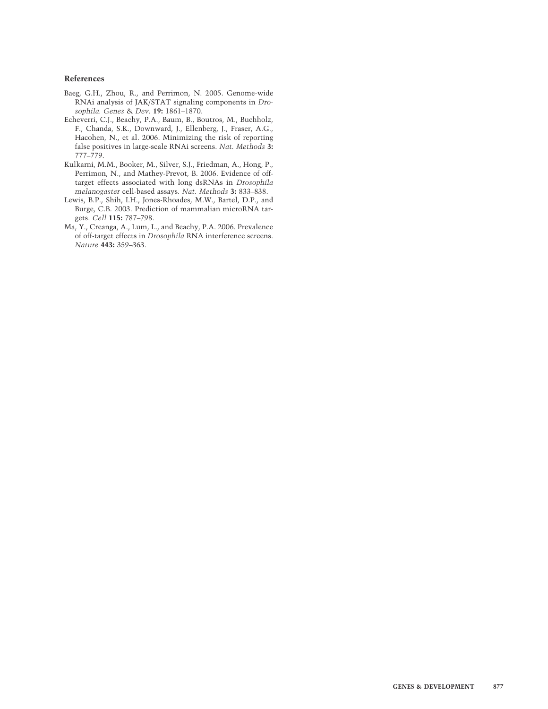## **References**

- Baeg, G.H., Zhou, R., and Perrimon, N. 2005. Genome-wide RNAi analysis of JAK/STAT signaling components in *Drosophila. Genes* & *Dev.* **19:** 1861–1870.
- Echeverri, C.J., Beachy, P.A., Baum, B., Boutros, M., Buchholz, F., Chanda, S.K., Downward, J., Ellenberg, J., Fraser, A.G., Hacohen, N., et al. 2006. Minimizing the risk of reporting false positives in large-scale RNAi screens. *Nat. Methods* **3:** 777–779.
- Kulkarni, M.M., Booker, M., Silver, S.J., Friedman, A., Hong, P., Perrimon, N., and Mathey-Prevot, B. 2006. Evidence of offtarget effects associated with long dsRNAs in *Drosophila melanogaster* cell-based assays. *Nat. Methods* **3:** 833–838.
- Lewis, B.P., Shih, I.H., Jones-Rhoades, M.W., Bartel, D.P., and Burge, C.B. 2003. Prediction of mammalian microRNA targets. *Cell* **115:** 787–798.
- Ma, Y., Creanga, A., Lum, L., and Beachy, P.A. 2006. Prevalence of off-target effects in *Drosophila* RNA interference screens. *Nature* **443:** 359–363.